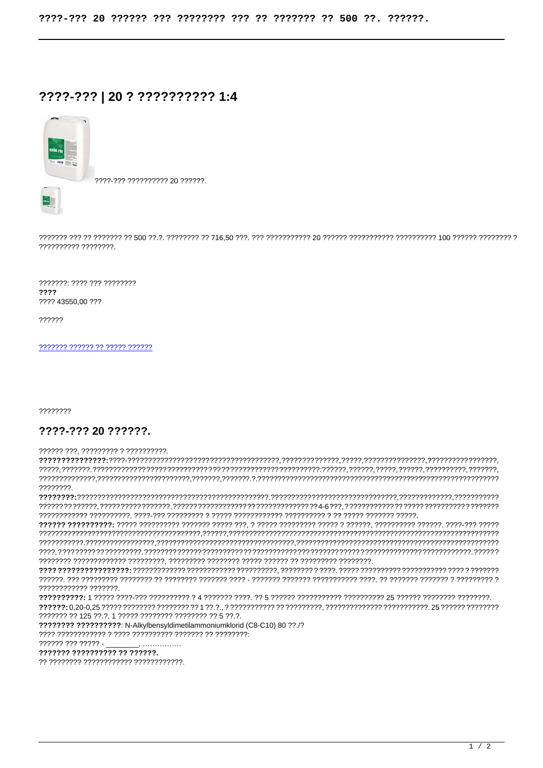## ????-??? | 20 ? ?????????? 1:4



2222-222 2222222222 20 222222

7777777 7777 777 77777777 2222 ???? 43550.00 ???

??????

777777 777777 77 77777 777777

22222222

## ????-??? 20 ??????

?????? ???. ????????? ? ??????????.

22222222 777777777777 7777777 777777 77 125 77.7, 1 77777 77777777 77777777 77 5 77.7. 222222222222222222: N-Alkylbensyldimetilammoniumklorid (C8-C10) 80 22 /2 777777 777 77777 -??????? ?????????? ?? ??????.

?? ???????? ???????????? ????????????.